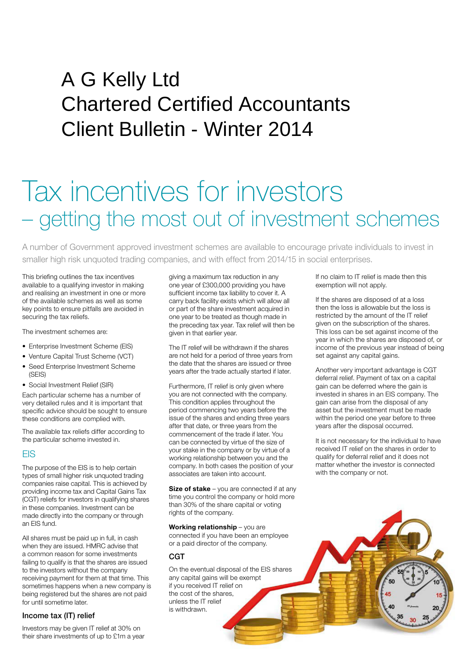# $P$ A G Kelly Ltd Chartered Certified Accountants Client Bulletin - Winter 2014

# Tax incentives for investors – getting the most out of investment schemes

A number of Government approved investment schemes are available to encourage private individuals to invest in smaller high risk unquoted trading companies, and with effect from 2014/15 in social enterprises.

This briefing outlines the tax incentives available to a qualifying investor in making and realising an investment in one or more of the available schemes as well as some key points to ensure pitfalls are avoided in securing the tax reliefs.

The investment schemes are:

- Enterprise Investment Scheme (EIS)
- Venture Capital Trust Scheme (VCT)
- Seed Enterprise Investment Scheme (SEIS)
- Social Investment Relief (SIR)

Each particular scheme has a number of very detailed rules and it is important that specific advice should be sought to ensure these conditions are complied with.

The available tax reliefs differ according to the particular scheme invested in.

#### **FIS**

The purpose of the EIS is to help certain types of small higher risk unquoted trading companies raise capital. This is achieved by providing income tax and Capital Gains Tax (CGT) reliefs for investors in qualifying shares in these companies. Investment can be made directly into the company or through an EIS fund.

All shares must be paid up in full, in cash when they are issued. HMRC advise that a common reason for some investments failing to qualify is that the shares are issued to the investors without the company receiving payment for them at that time. This sometimes happens when a new company is being registered but the shares are not paid for until sometime later.

#### Income tax (IT) relief

Investors may be given IT relief at 30% on their share investments of up to £1m a year giving a maximum tax reduction in any one year of £300,000 providing you have sufficient income tax liability to cover it. A carry back facility exists which will allow all or part of the share investment acquired in one year to be treated as though made in the preceding tax year. Tax relief will then be given in that earlier year.

The IT relief will be withdrawn if the shares are not held for a period of three years from the date that the shares are issued or three years after the trade actually started if later.

Furthermore, IT relief is only given where you are not connected with the company. This condition applies throughout the period commencing two years before the issue of the shares and ending three years after that date, or three years from the commencement of the trade if later. You can be connected by virtue of the size of your stake in the company or by virtue of a working relationship between you and the company. In both cases the position of your associates are taken into account.

**Size of stake** – you are connected if at any time you control the company or hold more than 30% of the share capital or voting rights of the company.

**Working relationship** – you are connected if you have been an employee or a paid director of the company.

### CGT

On the eventual disposal of the EIS shares any capital gains will be exempt if you received IT relief on the cost of the shares, unless the IT relief is withdrawn.

If no claim to IT relief is made then this exemption will not apply.

If the shares are disposed of at a loss then the loss is allowable but the loss is restricted by the amount of the IT relief given on the subscription of the shares. This loss can be set against income of the year in which the shares are disposed of, or income of the previous year instead of being set against any capital gains.

Another very important advantage is CGT deferral relief. Payment of tax on a capital gain can be deferred where the gain is invested in shares in an EIS company. The gain can arise from the disposal of any asset but the investment must be made within the period one year before to three years after the disposal occurred.

It is not necessary for the individual to have received IT relief on the shares in order to qualify for deferral relief and it does not matter whether the investor is connected with the company or not.